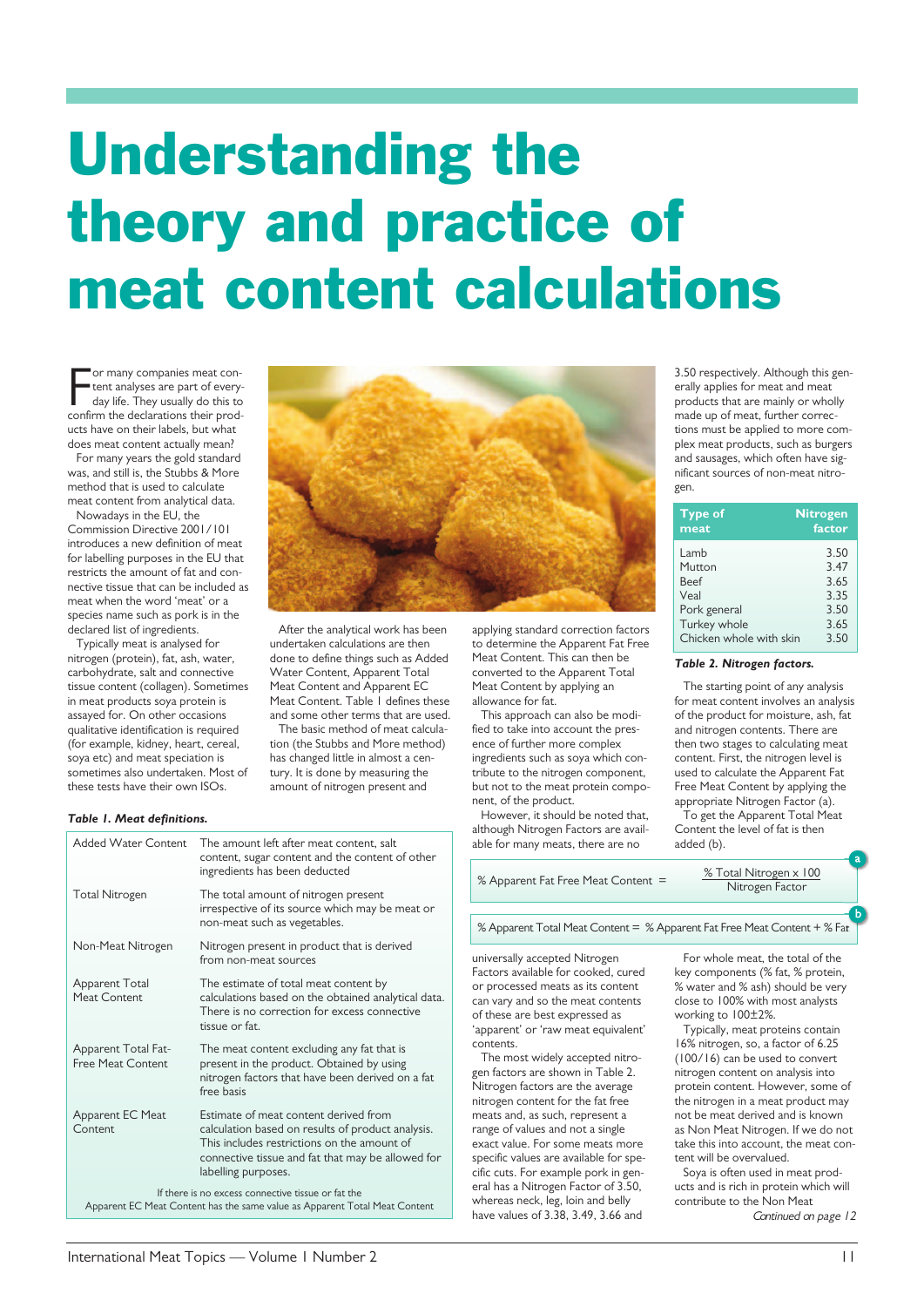## **Understanding the theory and practice of meat content calculations**

For many companies meat content analyses are part of every-<br>day life. They usually do this to<br>confirm the declarations their prodor many companies meat content analyses are part of everyday life. They usually do this to ucts have on their labels, but what does meat content actually mean?

For many years the gold standard was, and still is, the Stubbs & More method that is used to calculate meat content from analytical data.

Nowadays in the EU, the Commission Directive 2001/101 introduces a new definition of meat for labelling purposes in the EU that restricts the amount of fat and connective tissue that can be included as meat when the word 'meat' or a species name such as pork is in the declared list of ingredients.

Typically meat is analysed for nitrogen (protein), fat, ash, water, carbohydrate, salt and connective tissue content (collagen). Sometimes in meat products soya protein is assayed for. On other occasions qualitative identification is required (for example, kidney, heart, cereal, soya etc) and meat speciation is sometimes also undertaken. Most of these tests have their own ISOs.

## *Table 1. Meat definitions.*



After the analytical work has been undertaken calculations are then done to define things such as Added Water Content, Apparent Total Meat Content and Apparent EC Meat Content. Table 1 defines these

and some other terms that are used. The basic method of meat calculation (the Stubbs and More method) has changed little in almost a century. It is done by measuring the amount of nitrogen present and

content, sugar content and the content of other

irrespective of its source which may be meat or

calculations based on the obtained analytical data. There is no correction for excess connective

present in the product. Obtained by using nitrogen factors that have been derived on a fat

calculation based on results of product analysis. This includes restrictions on the amount of connective tissue and fat that may be allowed for

ingredients has been deducted

non-meat such as vegetables.

applying standard correction factors to determine the Apparent Fat Free Meat Content. This can then be converted to the Apparent Total Meat Content by applying an allowance for fat.

This approach can also be modified to take into account the presence of further more complex ingredients such as soya which contribute to the nitrogen component, but not to the meat protein component, of the product.

However, it should be noted that, although Nitrogen Factors are available for many meats, there are no

% Apparent Fat Free Meat Content  $=$   $\frac{\% \text{ Total Nitrogen} \times 100}{\text{ N}}$ 

% Apparent Total Meat Content = % Apparent Fat Free Meat Content + % Fat

universally accepted Nitrogen Factors available for cooked, cured or processed meats as its content can vary and so the meat contents of these are best expressed as 'apparent' or 'raw meat equivalent' contents.

The most widely accepted nitrogen factors are shown in Table 2. Nitrogen factors are the average nitrogen content for the fat free meats and, as such, represent a range of values and not a single exact value. For some meats more specific values are available for specific cuts. For example pork in general has a Nitrogen Factor of 3.50, whereas neck, leg, loin and belly have values of 3.38, 3.49, 3.66 and

For whole meat, the total of the key components (% fat, % protein, % water and % ash) should be very close to 100% with most analysts working to 100±2%.

Typically, meat proteins contain 16% nitrogen, so, a factor of 6.25 (100/16) can be used to convert nitrogen content on analysis into protein content. However, some of the nitrogen in a meat product may not be meat derived and is known as Non Meat Nitrogen. If we do not take this into account, the meat content will be overvalued.

Soya is often used in meat products and is rich in protein which will contribute to the Non Meat Continued on page 12

Added Water Content The amount left after meat content, salt

Total Nitrogen The total amount of nitrogen present

Apparent Total The estimate of total meat content by<br>Meat Content calculations based on the obtained ana

tissue or fat.

free basis

Apparent EC Meat Estimate of meat content derived from<br>Content calculation based on results of product

labelling purposes. If there is no excess connective tissue or fat the Apparent EC Meat Content has the same value as Apparent Total Meat Content

Apparent Total Fat-<br>
Free Meat Content 
resent in the product. Obtained by using

Non-Meat Nitrogen Nitrogen present in product that is derived from non-meat sources

3.50 respectively. Although this generally applies for meat and meat products that are mainly or wholly made up of meat, further corrections must be applied to more complex meat products, such as burgers and sausages, which often have significant sources of non-meat nitrogen.

| <b>Type of</b><br>meat  | <b>Nitrogen</b><br>factor |
|-------------------------|---------------------------|
| Lamb                    | 3.50                      |
| Mutton                  | 3.47                      |
| <b>Beef</b>             | 3.65                      |
| Veal                    | 3.35                      |
| Pork general            | 3.50                      |
| Turkey whole            | 3.65                      |
| Chicken whole with skin | 3.50                      |

## *Table 2. Nitrogen factors.*

The starting point of any analysis for meat content involves an analysis of the product for moisture, ash, fat and nitrogen contents. There are then two stages to calculating meat content. First, the nitrogen level is used to calculate the Apparent Fat Free Meat Content by applying the appropriate Nitrogen Factor (a).

To get the Apparent Total Meat Content the level of fat is then added (b).

Nitrogen Factor

a

b